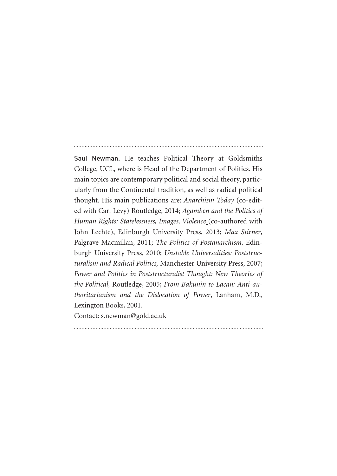Saul Newman. He teaches Political Theory at Goldsmiths College, UCL, where is Head of the Department of Politics. His main topics are contemporary political and social theory, particularly from the Continental tradition, as well as radical political thought. His main publications are: *Anarchism Today* (co-edited with Carl Levy) Routledge, 2014; *Agamben and the Politics of Human Rights: Statelessness, Images, Violence* (co-authored with John Lechte), Edinburgh University Press, 2013; *Max Stirner*, Palgrave Macmillan, 2011; *The Politics of Postanarchism*, Edinburgh University Press, 2010; *Unstable Universalities: Poststructuralism and Radical Politics,* Manchester University Press, 2007; *Power and Politics in Poststructuralist Thought: New Theories of the Political,* Routledge, 2005; *From Bakunin to Lacan: Anti-authoritarianism and the Dislocation of Power*, Lanham, M.D., Lexington Books, 2001.

Contact: s.newman@gold.ac.uk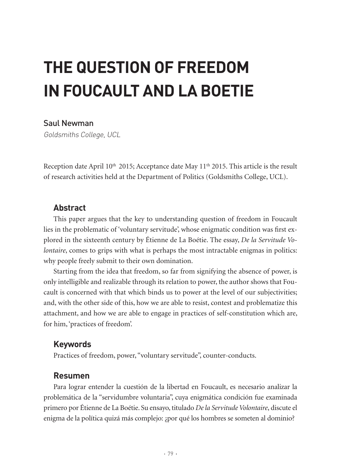# **THE QUESTION OF FREEDOM IN FOUCAULT AND LA BOETIE**

#### Saul Newman

Goldsmiths College, UCL

Reception date April 10<sup>th</sup> 2015; Acceptance date May 11<sup>th</sup> 2015. This article is the result of research activities held at the Department of Politics (Goldsmiths College, UCL).

### **Abstract**

This paper argues that the key to understanding question of freedom in Foucault lies in the problematic of 'voluntary servitude', whose enigmatic condition was first explored in the sixteenth century by Étienne de La Boétie. The essay, *De la Servitude Volontaire*, comes to grips with what is perhaps the most intractable enigmas in politics: why people freely submit to their own domination.

Starting from the idea that freedom, so far from signifying the absence of power, is only intelligible and realizable through its relation to power, the author shows that Foucault is concerned with that which binds us to power at the level of our subjectivities; and, with the other side of this, how we are able to resist, contest and problematize this attachment, and how we are able to engage in practices of self-constitution which are, for him, 'practices of freedom'.

# **Keywords**

Practices of freedom, power, "voluntary servitude", counter-conducts.

### **Resumen**

Para lograr entender la cuestión de la libertad en Foucault, es necesario analizar la problemática de la "servidumbre voluntaria", cuya enigmática condición fue examinada primero por Étienne de La Boétie. Su ensayo, titulado *De la Servitude Volontaire*, discute el enigma de la política quizá más complejo: ¿por qué los hombres se someten al dominio?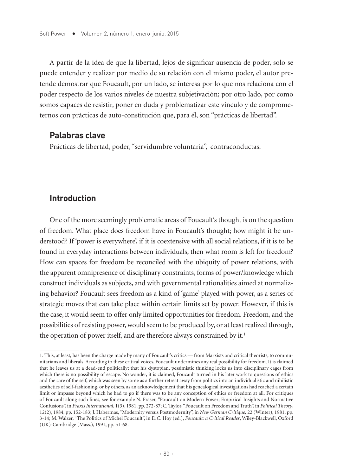A partir de la idea de que la libertad, lejos de significar ausencia de poder, solo se puede entender y realizar por medio de su relación con el mismo poder, el autor pretende demostrar que Foucault, por un lado, se interesa por lo que nos relaciona con el poder respecto de los varios niveles de nuestra subjetivación; por otro lado, por como somos capaces de resistir, poner en duda y problematizar este vínculo y de comprometernos con prácticas de auto-constitución que, para él, son "prácticas de libertad".

#### **Palabras clave**

Prácticas de libertad, poder, "servidumbre voluntaria", contraconductas.

# **Introduction**

One of the more seemingly problematic areas of Foucault's thought is on the question of freedom. What place does freedom have in Foucault's thought; how might it be understood? If 'power is everywhere', if it is coextensive with all social relations, if it is to be found in everyday interactions between individuals, then what room is left for freedom? How can spaces for freedom be reconciled with the ubiquity of power relations, with the apparent omnipresence of disciplinary constraints, forms of power/knowledge which construct individuals as subjects, and with governmental rationalities aimed at normalizing behavior? Foucault sees freedom as a kind of 'game' played with power, as a series of strategic moves that can take place within certain limits set by power. However, if this is the case, it would seem to offer only limited opportunities for freedom. Freedom, and the possibilities of resisting power, would seem to be produced by, or at least realized through, the operation of power itself, and are therefore always constrained by it.<sup>1</sup>

<sup>1.</sup> This, at least, has been the charge made by many of Foucault's critics — from Marxists and critical theorists, to communitarians and liberals. According to these critical voices, Foucault undermines any real possibility for freedom. It is claimed that he leaves us at a dead-end politically; that his dystopian, pessimistic thinking locks us into disciplinary cages from which there is no possibility of escape. No wonder, it is claimed, Foucault turned in his later work to questions of ethics and the care of the self, which was seen by some as a further retreat away from politics into an individualistic and nihilistic aesthetics of self-fashioning, or by others, as an acknowledgement that his genealogical investigations had reached a certain limit or impasse beyond which he had to go if there was to be any conception of ethics or freedom at all. For critiques of Foucault along such lines, see for example N. Fraser, "Foucault on Modern Power; Empirical Insights and Normative Confusions", in *Praxis International*, 1(3), 1981, pp. 272-87; C. Taylor, "Foucault on Freedom and Truth", in *Political Theory*, 12(2), 1984, pp. 152-183; J. Habermas, "Modernity versus Postmodernity", in *New German Critique,* 22 (Winter), 1981, pp. 3-14; M. Walzer, "The Politics of Michel Foucault", in D.C. Hoy (ed.), *Foucault: a Critical Reader*, Wiley-Blackwell, Oxford (UK)-Cambridge (Mass.), 1991, pp. 51-68.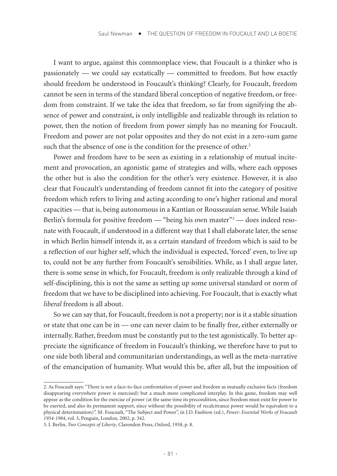I want to argue, against this commonplace view, that Foucault is a thinker who is passionately — we could say ecstatically — committed to freedom. But how exactly should freedom be understood in Foucault's thinking? Clearly, for Foucault, freedom cannot be seen in terms of the standard liberal conception of negative freedom, or freedom from constraint. If we take the idea that freedom, so far from signifying the absence of power and constraint, is only intelligible and realizable through its relation to power, then the notion of freedom from power simply has no meaning for Foucault. Freedom and power are not polar opposites and they do not exist in a zero-sum game such that the absence of one is the condition for the presence of other.<sup>2</sup>

Power and freedom have to be seen as existing in a relationship of mutual incitement and provocation, an agonistic game of strategies and wills, where each opposes the other but is also the condition for the other's very existence. However, it is also clear that Foucault's understanding of freedom cannot fit into the category of positive freedom which refers to living and acting according to one's higher rational and moral capacities — that is, being autonomous in a Kantian or Rousseauian sense. While Isaiah Berlin's formula for positive freedom — "being his own master"<sup>3</sup> — does indeed resonate with Foucault, if understood in a different way that I shall elaborate later, the sense in which Berlin himself intends it, as a certain standard of freedom which is said to be a reflection of our higher self, which the individual is expected, 'forced' even, to live up to, could not be any further from Foucault's sensibilities. While, as I shall argue later, there is some sense in which, for Foucault, freedom is only realizable through a kind of self-disciplining, this is not the same as setting up some universal standard or norm of freedom that we have to be disciplined into achieving. For Foucault, that is exactly what *liberal* freedom is all about.

So we can say that, for Foucault, freedom is not a property; nor is it a stable situation or state that one can be in — one can never claim to be finally free, either externally or internally. Rather, freedom must be constantly put to the test agonistically. To better appreciate the significance of freedom in Foucault's thinking, we therefore have to put to one side both liberal and communitarian understandings, as well as the meta-narrative of the emancipation of humanity. What would this be, after all, but the imposition of

<sup>2.</sup> As Foucault says: "There is not a face-to-face confrontation of power and freedom as mutually exclusive facts (freedom disappearing everywhere power is exercised) but a much more complicated interplay. In this game, freedom may well appear as the condition for the exercise of power (at the same time its precondition, since freedom must exist for power to be exerted, and also its permanent support, since without the possibility of recalcitrance power would be equivalent to a physical determination)". M. Foucault, "The Subject and Power", in J.D. Faubion (ed.), *Power: Essential Works of Foucault 1954-1984*, vol. 3, Penguin, London, 2002, p. 342.

<sup>3.</sup> I. Berlin, *Two Concepts of Liberty*, Clarendon Press, Oxford, 1958, p. 8.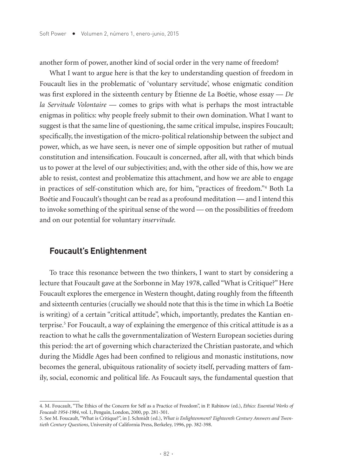another form of power, another kind of social order in the very name of freedom?

What I want to argue here is that the key to understanding question of freedom in Foucault lies in the problematic of 'voluntary servitude', whose enigmatic condition was first explored in the sixteenth century by Étienne de La Boétie, whose essay — *De la Servitude Volontaire* — comes to grips with what is perhaps the most intractable enigmas in politics: why people freely submit to their own domination. What I want to suggest is that the same line of questioning, the same critical impulse, inspires Foucault; specifically, the investigation of the micro-political relationship between the subject and power, which, as we have seen, is never one of simple opposition but rather of mutual constitution and intensification. Foucault is concerned, after all, with that which binds us to power at the level of our subjectivities; and, with the other side of this, how we are able to resist, contest and problematize this attachment, and how we are able to engage in practices of self-constitution which are, for him, "practices of freedom."4 Both La Boétie and Foucault's thought can be read as a profound meditation — and I intend this to invoke something of the spiritual sense of the word — on the possibilities of freedom and on our potential for voluntary *inservitude.*

## **Foucault's Enlightenment**

To trace this resonance between the two thinkers, I want to start by considering a lecture that Foucault gave at the Sorbonne in May 1978, called "What is Critique?" Here Foucault explores the emergence in Western thought, dating roughly from the fifteenth and sixteenth centuries (crucially we should note that this is the time in which La Boétie is writing) of a certain "critical attitude", which, importantly, predates the Kantian enterprise.5 For Foucault, a way of explaining the emergence of this critical attitude is as a reaction to what he calls the governmentalization of Western European societies during this period: the art of governing which characterized the Christian pastorate, and which during the Middle Ages had been confined to religious and monastic institutions, now becomes the general, ubiquitous rationality of society itself, pervading matters of family, social, economic and political life. As Foucault says, the fundamental question that

<sup>4.</sup> M. Foucault, "The Ethics of the Concern for Self as a Practice of Freedom", in P. Rabinow (ed.), *Ethics: Essential Works of Foucault 1954-1984*, vol. 1, Penguin, London, 2000, pp. 281-301.

<sup>5.</sup> See M. Foucault, "What is Critique?", in J. Schmidt (ed.), *What is Enlightenment? Eighteenth Century Answers and Twentieth Century Questions*, University of California Press, Berkeley, 1996, pp. 382-398.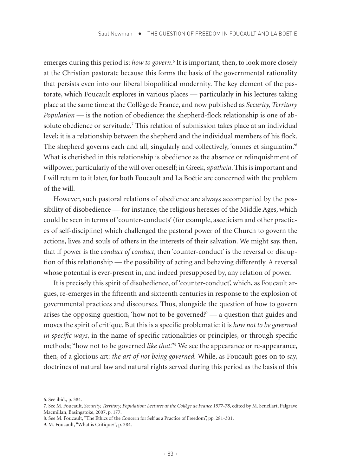emerges during this period is: *how to govern*.<sup>6</sup> It is important, then, to look more closely at the Christian pastorate because this forms the basis of the governmental rationality that persists even into our liberal biopolitical modernity. The key element of the pastorate, which Foucault explores in various places — particularly in his lectures taking place at the same time at the Collège de France, and now published as *Security, Territory Population* — is the notion of obedience: the shepherd-flock relationship is one of absolute obedience or servitude.<sup>7</sup> This relation of submission takes place at an individual level; it is a relationship between the shepherd and the individual members of his flock. The shepherd governs each and all, singularly and collectively, 'omnes et singulatim.'8 What is cherished in this relationship is obedience as the absence or relinquishment of willpower, particularly of the will over oneself; in Greek, *apatheia*. This is important and I will return to it later, for both Foucault and La Boétie are concerned with the problem of the will.

However, such pastoral relations of obedience are always accompanied by the possibility of disobedience — for instance, the religious heresies of the Middle Ages, which could be seen in terms of 'counter-conducts' (for example, asceticism and other practices of self-discipline) which challenged the pastoral power of the Church to govern the actions, lives and souls of others in the interests of their salvation. We might say, then, that if power is the *conduct of conduct*, then 'counter-conduct' is the reversal or disruption of this relationship — the possibility of acting and behaving differently. A reversal whose potential is ever-present in, and indeed presupposed by, any relation of power.

It is precisely this spirit of disobedience, of 'counter-conduct', which, as Foucault argues, re-emerges in the fifteenth and sixteenth centuries in response to the explosion of governmental practices and discourses. Thus, alongside the question of how to govern arises the opposing question, 'how not to be governed?' — a question that guides and moves the spirit of critique. But this is a specific problematic: it is *how not to be governed in specific ways*, in the name of specific rationalities or principles, or through specific methods; "how not to be governed *like that*."9 We see the appearance or re-appearance, then, of a glorious art: *the art of not being governed.* While, as Foucault goes on to say, doctrines of natural law and natural rights served during this period as the basis of this

<sup>6.</sup> See ibid., p. 384.

<sup>7.</sup> See M. Foucault, *Security, Territory, Population: Lectures at the Collège de France 1977-78*, edited by M. Senellart, Palgrave Macmillan, Basingstoke, 2007, p. 177.

<sup>8.</sup> See M. Foucault, "The Ethics of the Concern for Self as a Practice of Freedom", pp. 281-301.

<sup>9.</sup> M. Foucault, "What is Critique?", p. 384.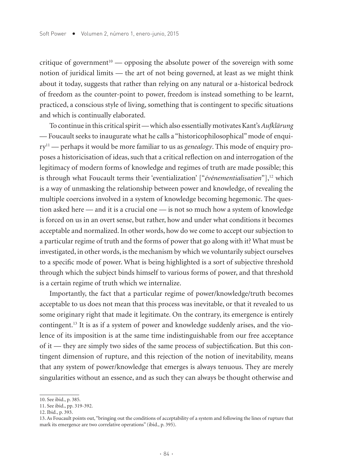critique of government<sup>10</sup> — opposing the absolute power of the sovereign with some notion of juridical limits — the art of not being governed, at least as we might think about it today, suggests that rather than relying on any natural or a-historical bedrock of freedom as the counter-point to power, freedom is instead something to be learnt, practiced, a conscious style of living, something that is contingent to specific situations and which is continually elaborated.

To continue in this critical spirit — which also essentially motivates Kant's *Aufklärung* — Foucault seeks to inaugurate what he calls a "historicophilosophical" mode of enquiry11 — perhaps it would be more familiar to us as *genealogy*. This mode of enquiry proposes a historicisation of ideas, such that a critical reflection on and interrogation of the legitimacy of modern forms of knowledge and regimes of truth are made possible; this is through what Foucault terms their 'eventialization' ["événementialisation"],<sup>12</sup> which is a way of unmasking the relationship between power and knowledge, of revealing the multiple coercions involved in a system of knowledge becoming hegemonic. The question asked here — and it is a crucial one — is not so much how a system of knowledge is forced on us in an overt sense, but rather, how and under what conditions it becomes acceptable and normalized. In other words, how do we come to accept our subjection to a particular regime of truth and the forms of power that go along with it? What must be investigated, in other words, is the mechanism by which we voluntarily subject ourselves to a specific mode of power. What is being highlighted is a sort of subjective threshold through which the subject binds himself to various forms of power, and that threshold is a certain regime of truth which we internalize.

Importantly, the fact that a particular regime of power/knowledge/truth becomes acceptable to us does not mean that this process was inevitable, or that it revealed to us some originary right that made it legitimate. On the contrary, its emergence is entirely contingent.13 It is as if a system of power and knowledge suddenly arises, and the violence of its imposition is at the same time indistinguishable from our free acceptance of it — they are simply two sides of the same process of subjectification. But this contingent dimension of rupture, and this rejection of the notion of inevitability, means that any system of power/knowledge that emerges is always tenuous. They are merely singularities without an essence, and as such they can always be thought otherwise and

<sup>10.</sup> See ibid., p. 385.

<sup>11.</sup> See ibid., pp. 319-392.

<sup>12.</sup> Ibid., p. 393.

<sup>13.</sup> As Foucault points out, "bringing out the conditions of acceptability of a system and following the lines of rupture that mark its emergence are two correlative operations" (ibid., p. 395).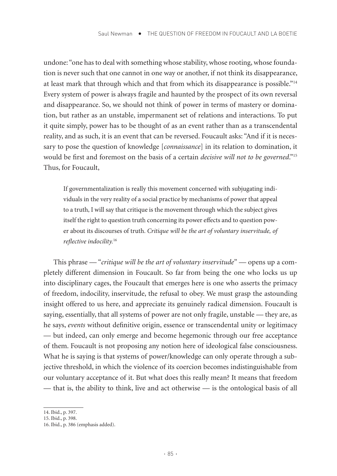undone: "one has to deal with something whose stability, whose rooting, whose foundation is never such that one cannot in one way or another, if not think its disappearance, at least mark that through which and that from which its disappearance is possible."14 Every system of power is always fragile and haunted by the prospect of its own reversal and disappearance. So, we should not think of power in terms of mastery or domination, but rather as an unstable, impermanent set of relations and interactions. To put it quite simply, power has to be thought of as an event rather than as a transcendental reality, and as such, it is an event that can be reversed. Foucault asks: "And if it is necessary to pose the question of knowledge [*connaissance*] in its relation to domination, it would be first and foremost on the basis of a certain *decisive will not to be governed*."15 Thus, for Foucault,

If governmentalization is really this movement concerned with subjugating individuals in the very reality of a social practice by mechanisms of power that appeal to a truth, I will say that critique is the movement through which the subject gives itself the right to question truth concerning its power effects and to question power about its discourses of truth. *Critique will be the art of voluntary inservitude, of reflective indocility.*<sup>16</sup>

This phrase — "*critique will be the art of voluntary inservitude*" — opens up a completely different dimension in Foucault. So far from being the one who locks us up into disciplinary cages, the Foucault that emerges here is one who asserts the primacy of freedom, indocility, inservitude, the refusal to obey. We must grasp the astounding insight offered to us here, and appreciate its genuinely radical dimension. Foucault is saying, essentially, that all systems of power are not only fragile, unstable — they are, as he says, *events* without definitive origin, essence or transcendental unity or legitimacy — but indeed, can only emerge and become hegemonic through our free acceptance of them. Foucault is not proposing any notion here of ideological false consciousness. What he is saying is that systems of power/knowledge can only operate through a subjective threshold, in which the violence of its coercion becomes indistinguishable from our voluntary acceptance of it. But what does this really mean? It means that freedom — that is, the ability to think, live and act otherwise — is the ontological basis of all

<sup>14.</sup> Ibid., p. 397.

<sup>15.</sup> Ibid., p. 398.

<sup>16.</sup> Ibid., p. 386 (emphasis added).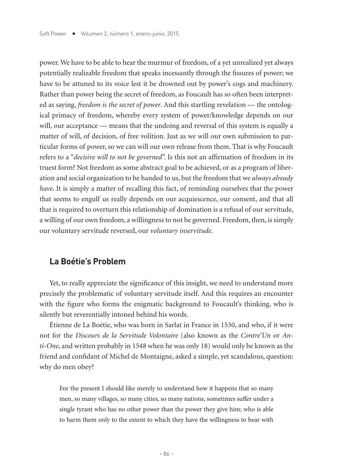power. We have to be able to hear the murmur of freedom, of a yet unrealized yet always potentially realizable freedom that speaks incessantly through the fissures of power; we have to be attuned to its voice lest it be drowned out by power's cogs and machinery. Rather than power being the secret of freedom, as Foucault has so often been interpreted as saying, *freedom is the secret of power*. And this startling revelation — the ontological primacy of freedom, whereby every system of power/knowledge depends on our will, our acceptance — means that the undoing and reversal of this system is equally a matter of will, of decision, of free volition. Just as we will our own submission to particular forms of power, so we can will our own release from them. That is why Foucault refers to a "*decisive will to not be governed*". Is this not an affirmation of freedom in its truest form? Not freedom as some abstract goal to be achieved, or as a program of liberation and social organization to be handed to us, but the freedom that we *always already have*. It is simply a matter of recalling this fact, of reminding ourselves that the power that seems to engulf us really depends on our acquiescence, our consent, and that all that is required to overturn this relationship of domination is a refusal of our servitude, a willing of our own freedom, a willingness to not be governed. Freedom, then, is simply our voluntary servitude reversed, our *voluntary inservitude*.

## **La Boétie's Problem**

Yet, to really appreciate the significance of this insight, we need to understand more precisely the problematic of voluntary servitude itself. And this requires an encounter with the figure who forms the enigmatic background to Foucault's thinking, who is silently but reverentially intoned behind his words.

Étienne de La Boétie, who was born in Sarlat in France in 1530, and who, if it were not for the *Discours de la Servitude Volontaire* (also known as the *Contre'Un* or *Anti-One*, and written probably in 1548 when he was only 18) would only be known as the friend and confidant of Michel de Montaigne, asked a simple, yet scandalous, question: why do men obey?

For the present I should like merely to understand how it happens that so many men, so many villages, so many cities, so many nations, sometimes suffer under a single tyrant who has no other power than the power they give him; who is able to harm them only to the extent to which they have the willingness to bear with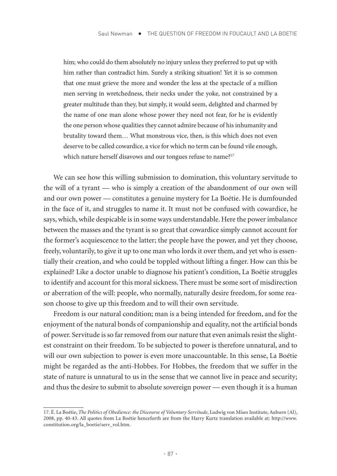him; who could do them absolutely no injury unless they preferred to put up with him rather than contradict him. Surely a striking situation! Yet it is so common that one must grieve the more and wonder the less at the spectacle of a million men serving in wretchedness, their necks under the yoke, not constrained by a greater multitude than they, but simply, it would seem, delighted and charmed by the name of one man alone whose power they need not fear, for he is evidently the one person whose qualities they cannot admire because of his inhumanity and brutality toward them… What monstrous vice, then, is this which does not even deserve to be called cowardice, a vice for which no term can be found vile enough, which nature herself disavows and our tongues refuse to name?<sup>17</sup>

We can see how this willing submission to domination, this voluntary servitude to the will of a tyrant — who is simply a creation of the abandonment of our own will and our own power — constitutes a genuine mystery for La Boétie. He is dumfounded in the face of it, and struggles to name it. It must not be confused with cowardice, he says, which, while despicable is in some ways understandable. Here the power imbalance between the masses and the tyrant is so great that cowardice simply cannot account for the former's acquiescence to the latter; the people have the power, and yet they choose, freely, voluntarily, to give it up to one man who lords it over them, and yet who is essentially their creation, and who could be toppled without lifting a finger. How can this be explained? Like a doctor unable to diagnose his patient's condition, La Boétie struggles to identify and account for this moral sickness. There must be some sort of misdirection or aberration of the will: people, who normally, naturally desire freedom, for some reason choose to give up this freedom and to will their own servitude.

Freedom is our natural condition; man is a being intended for freedom, and for the enjoyment of the natural bonds of companionship and equality, not the artificial bonds of power. Servitude is so far removed from our nature that even animals resist the slightest constraint on their freedom. To be subjected to power is therefore unnatural, and to will our own subjection to power is even more unaccountable. In this sense, La Boétie might be regarded as the anti-Hobbes. For Hobbes, the freedom that we suffer in the state of nature is unnatural to us in the sense that we cannot live in peace and security; and thus the desire to submit to absolute sovereign power — even though it is a human

<sup>17.</sup> É. La Boétie, *The Politics of Obedience: the Discourse of Voluntary Servitude*, Ludwig von Mises Institute, Auburn (Al), 2008, pp. 40-43. All quotes from La Boétie henceforth are from the Harry Kurtz translation available at: http://www. constitution.org/la\_boetie/serv\_vol.htm.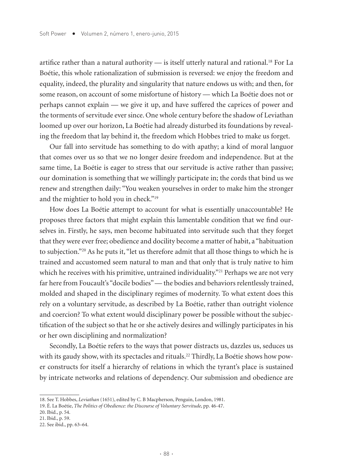artifice rather than a natural authority — is itself utterly natural and rational.<sup>18</sup> For La Boétie, this whole rationalization of submission is reversed: we enjoy the freedom and equality, indeed, the plurality and singularity that nature endows us with; and then, for some reason, on account of some misfortune of history — which La Boétie does not or perhaps cannot explain — we give it up, and have suffered the caprices of power and the torments of servitude ever since. One whole century before the shadow of Leviathan loomed up over our horizon, La Boétie had already disturbed its foundations by revealing the freedom that lay behind it, the freedom which Hobbes tried to make us forget.

Our fall into servitude has something to do with apathy; a kind of moral languor that comes over us so that we no longer desire freedom and independence. But at the same time, La Boétie is eager to stress that our servitude is active rather than passive; our domination is something that we willingly participate in; the cords that bind us we renew and strengthen daily: "You weaken yourselves in order to make him the stronger and the mightier to hold you in check."19

How does La Boétie attempt to account for what is essentially unaccountable? He proposes three factors that might explain this lamentable condition that we find ourselves in. Firstly, he says, men become habituated into servitude such that they forget that they were ever free; obedience and docility become a matter of habit, a "habituation to subjection."20 As he puts it, "let us therefore admit that all those things to which he is trained and accustomed seem natural to man and that only that is truly native to him which he receives with his primitive, untrained individuality."<sup>21</sup> Perhaps we are not very far here from Foucault's "docile bodies" — the bodies and behaviors relentlessly trained, molded and shaped in the disciplinary regimes of modernity. To what extent does this rely on a voluntary servitude, as described by La Boétie, rather than outright violence and coercion? To what extent would disciplinary power be possible without the subjectification of the subject so that he or she actively desires and willingly participates in his or her own disciplining and normalization?

Secondly, La Boétie refers to the ways that power distracts us, dazzles us, seduces us with its gaudy show, with its spectacles and rituals.<sup>22</sup> Thirdly, La Boétie shows how power constructs for itself a hierarchy of relations in which the tyrant's place is sustained by intricate networks and relations of dependency. Our submission and obedience are

<sup>18.</sup> See T. Hobbes, *Leviathan* (1651), edited by C. B Macpherson, Penguin, London, 1981.

<sup>19.</sup> É. La Boétie, *The Politics of Obedience: the Discourse of Voluntary Servitude*, pp. 46-47.

<sup>20.</sup> Ibid., p. 54.

<sup>21.</sup> Ibid., p. 59.

<sup>22.</sup> See ibid., pp. 63–64.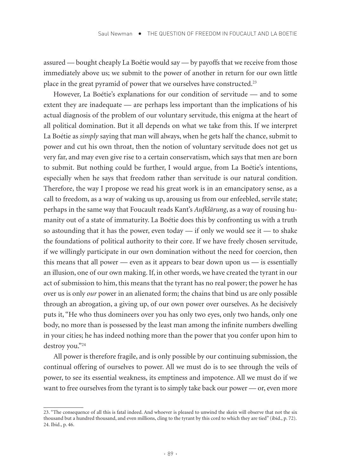assured — bought cheaply La Boétie would say — by payoffs that we receive from those immediately above us; we submit to the power of another in return for our own little place in the great pyramid of power that we ourselves have constructed.<sup>23</sup>

However, La Boétie's explanations for our condition of servitude — and to some extent they are inadequate — are perhaps less important than the implications of his actual diagnosis of the problem of our voluntary servitude, this enigma at the heart of all political domination. But it all depends on what we take from this. If we interpret La Boétie as *simply* saying that man will always, when he gets half the chance, submit to power and cut his own throat, then the notion of voluntary servitude does not get us very far, and may even give rise to a certain conservatism, which says that men are born to submit. But nothing could be further, I would argue, from La Boétie's intentions, especially when he says that freedom rather than servitude is our natural condition. Therefore, the way I propose we read his great work is in an emancipatory sense, as a call to freedom, as a way of waking us up, arousing us from our enfeebled, servile state; perhaps in the same way that Foucault reads Kant's *Aufklärung*, as a way of rousing humanity out of a state of immaturity. La Boétie does this by confronting us with a truth so astounding that it has the power, even today — if only we would see it — to shake the foundations of political authority to their core. If we have freely chosen servitude, if we willingly participate in our own domination without the need for coercion, then this means that all power — even as it appears to bear down upon us — is essentially an illusion, one of our own making. If, in other words, we have created the tyrant in our act of submission to him, this means that the tyrant has no real power; the power he has over us is only *our* power in an alienated form; the chains that bind us are only possible through an abrogation, a giving up, of our own power over ourselves. As he decisively puts it, "He who thus domineers over you has only two eyes, only two hands, only one body, no more than is possessed by the least man among the infinite numbers dwelling in your cities; he has indeed nothing more than the power that you confer upon him to destroy you."24

All power is therefore fragile, and is only possible by our continuing submission, the continual offering of ourselves to power. All we must do is to see through the veils of power, to see its essential weakness, its emptiness and impotence. All we must do if we want to free ourselves from the tyrant is to simply take back our power — or, even more

<sup>23. &</sup>quot;The consequence of all this is fatal indeed. And whoever is pleased to unwind the skein will observe that not the six thousand but a hundred thousand, and even millions, cling to the tyrant by this cord to which they are tied" (ibid., p. 72). 24. Ibid., p. 46.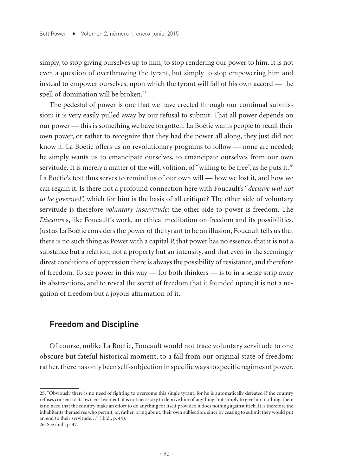simply, to stop giving ourselves up to him, to stop rendering our power to him. It is not even a question of overthrowing the tyrant, but simply to stop empowering him and instead to empower ourselves, upon which the tyrant will fall of his own accord — the spell of domination will be broken.<sup>25</sup>

The pedestal of power is one that we have erected through our continual submission; it is very easily pulled away by our refusal to submit. That all power depends on our power — this is something we have forgotten. La Boétie wants people to recall their own power, or rather to recognize that they had the power all along, they just did not know it. La Boétie offers us no revolutionary programs to follow — none are needed; he simply wants us to emancipate ourselves, to emancipate ourselves from our own servitude. It is merely a matter of the will, volition, of "willing to be free", as he puts it.<sup>26</sup> La Boétie's text thus serves to remind us of our own will — how we lost it, and how we can regain it. Is there not a profound connection here with Foucault's "*decisive will not to be governed*", which for him is the basis of all critique? The other side of voluntary servitude is therefore *voluntary inservitude*; the other side to power is freedom. The *Discours* s, like Foucault's work, an ethical meditation on freedom and its possibilities. Just as La Boétie considers the power of the tyrant to be an illusion, Foucault tells us that there is no such thing as Power with a capital P, that power has no essence, that it is not a substance but a relation, not a property but an intensity, and that even in the seemingly direst conditions of oppression there is always the possibility of resistance, and therefore of freedom. To see power in this way — for both thinkers — is to in a sense strip away its abstractions, and to reveal the secret of freedom that it founded upon; it is not a negation of freedom but a joyous affirmation of it.

### **Freedom and Discipline**

Of course, unlike La Boétie, Foucault would not trace voluntary servitude to one obscure but fateful historical moment, to a fall from our original state of freedom; rather, there has only been self-subjection in specific ways to specific regimes of power.

<sup>25. &</sup>quot;Obviously there is no need of fighting to overcome this single tyrant, for he is automatically defeated if the country refuses consent to its own enslavement: it is not necessary to deprive him of anything, but simply to give him nothing; there is no need that the country make an effort to do anything for itself provided it does nothing against itself. It is therefore the inhabitants themselves who permit, or, rather, bring about, their own subjection, since by ceasing to submit they would put an end to their servitude…" (ibid., p. 44).

<sup>26.</sup> See ibid., p. 47.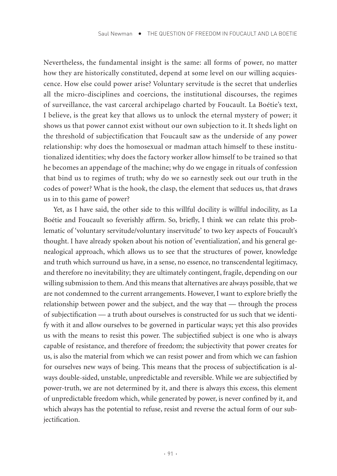Nevertheless, the fundamental insight is the same: all forms of power, no matter how they are historically constituted, depend at some level on our willing acquiescence. How else could power arise? Voluntary servitude is the secret that underlies all the micro-disciplines and coercions, the institutional discourses, the regimes of surveillance, the vast carceral archipelago charted by Foucault. La Boétie's text, I believe, is the great key that allows us to unlock the eternal mystery of power; it shows us that power cannot exist without our own subjection to it. It sheds light on the threshold of subjectification that Foucault saw as the underside of any power relationship: why does the homosexual or madman attach himself to these institutionalized identities; why does the factory worker allow himself to be trained so that he becomes an appendage of the machine; why do we engage in rituals of confession that bind us to regimes of truth; why do we so earnestly seek out our truth in the codes of power? What is the hook, the clasp, the element that seduces us, that draws us in to this game of power?

Yet, as I have said, the other side to this willful docility is willful indocility, as La Boétie and Foucault so feverishly affirm. So, briefly, I think we can relate this problematic of 'voluntary servitude/voluntary inservitude' to two key aspects of Foucault's thought. I have already spoken about his notion of 'eventialization', and his general genealogical approach, which allows us to see that the structures of power, knowledge and truth which surround us have, in a sense, no essence, no transcendental legitimacy, and therefore no inevitability; they are ultimately contingent, fragile, depending on our willing submission to them. And this means that alternatives are always possible, that we are not condemned to the current arrangements. However, I want to explore briefly the relationship between power and the subject, and the way that — through the process of subjectification — a truth about ourselves is constructed for us such that we identify with it and allow ourselves to be governed in particular ways; yet this also provides us with the means to resist this power. The subjectified subject is one who is always capable of resistance, and therefore of freedom; the subjectivity that power creates for us, is also the material from which we can resist power and from which we can fashion for ourselves new ways of being. This means that the process of subjectification is always double-sided, unstable, unpredictable and reversible. While we are subjectified by power-truth, we are not determined by it, and there is always this excess, this element of unpredictable freedom which, while generated by power, is never confined by it, and which always has the potential to refuse, resist and reverse the actual form of our subjectification.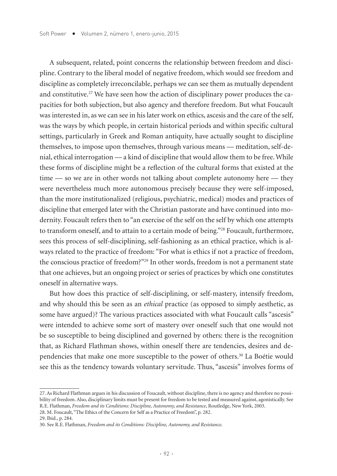A subsequent, related, point concerns the relationship between freedom and discipline. Contrary to the liberal model of negative freedom, which would see freedom and discipline as completely irreconcilable, perhaps we can see them as mutually dependent and constitutive.<sup>27</sup> We have seen how the action of disciplinary power produces the capacities for both subjection, but also agency and therefore freedom. But what Foucault was interested in, as we can see in his later work on ethics, ascesis and the care of the self, was the ways by which people, in certain historical periods and within specific cultural settings, particularly in Greek and Roman antiquity, have actually sought to discipline themselves, to impose upon themselves, through various means — meditation, self-denial, ethical interrogation — a kind of discipline that would allow them to be free. While these forms of discipline might be a reflection of the cultural forms that existed at the time — so we are in other words not talking about complete autonomy here — they were nevertheless much more autonomous precisely because they were self-imposed, than the more institutionalized (religious, psychiatric, medical) modes and practices of discipline that emerged later with the Christian pastorate and have continued into modernity. Foucault refers then to "an exercise of the self on the self by which one attempts to transform oneself, and to attain to a certain mode of being."28 Foucault, furthermore, sees this process of self-disciplining, self-fashioning as an ethical practice, which is always related to the practice of freedom: "For what is ethics if not a practice of freedom, the conscious practice of freedom?"29 In other words, freedom is not a permanent state that one achieves, but an ongoing project or series of practices by which one constitutes oneself in alternative ways.

But how does this practice of self-disciplining, or self-mastery, intensify freedom, and why should this be seen as an *ethical* practice (as opposed to simply aesthetic, as some have argued)? The various practices associated with what Foucault calls "ascesis" were intended to achieve some sort of mastery over oneself such that one would not be so susceptible to being disciplined and governed by others: there is the recognition that, as Richard Flathman shows, within oneself there are tendencies, desires and dependencies that make one more susceptible to the power of others.<sup>30</sup> La Boétie would see this as the tendency towards voluntary servitude. Thus, "ascesis" involves forms of

<sup>27.</sup> As Richard Flathman argues in his discussion of Foucault, without discipline, there is no agency and therefore no possibility of freedom. Also, disciplinary limits must be present for freedom to be tested and measured against, agonistically. See R.E. Flathman, *Freedom and its Conditions: Discipline, Autonomy, and Resistance*, Routledge, New York, 2003. 28. M. Foucault, "The Ethics of the Concern for Self as a Practice of Freedom", p. 282.

<sup>29.</sup> Ibid., p. 284.

<sup>30.</sup> See R.E. Flathman, *Freedom and its Conditions: Discipline, Autonomy, and Resistance*.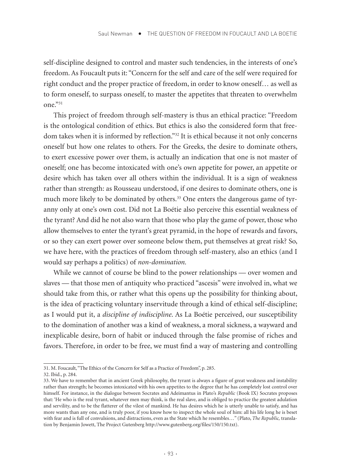self-discipline designed to control and master such tendencies, in the interests of one's freedom. As Foucault puts it: "Concern for the self and care of the self were required for right conduct and the proper practice of freedom, in order to know oneself… as well as to form oneself, to surpass oneself, to master the appetites that threaten to overwhelm one<sup>"31</sup>

This project of freedom through self-mastery is thus an ethical practice: "Freedom is the ontological condition of ethics. But ethics is also the considered form that freedom takes when it is informed by reflection."32 It is ethical because it not only concerns oneself but how one relates to others. For the Greeks, the desire to dominate others, to exert excessive power over them, is actually an indication that one is not master of oneself; one has become intoxicated with one's own appetite for power, an appetite or desire which has taken over all others within the individual. It is a sign of weakness rather than strength: as Rousseau understood, if one desires to dominate others, one is much more likely to be dominated by others.<sup>33</sup> One enters the dangerous game of tyranny only at one's own cost. Did not La Boétie also perceive this essential weakness of the tyrant? And did he not also warn that those who play the game of power, those who allow themselves to enter the tyrant's great pyramid, in the hope of rewards and favors, or so they can exert power over someone below them, put themselves at great risk? So, we have here, with the practices of freedom through self-mastery, also an ethics (and I would say perhaps a politics) of *non-domination.*

While we cannot of course be blind to the power relationships — over women and slaves — that those men of antiquity who practiced "ascesis" were involved in, what we should take from this, or rather what this opens up the possibility for thinking about, is the idea of practicing voluntary inservitude through a kind of ethical self-discipline; as I would put it, a *discipline of indiscipline*. As La Boétie perceived, our susceptibility to the domination of another was a kind of weakness, a moral sickness, a wayward and inexplicable desire, born of habit or induced through the false promise of riches and favors. Therefore, in order to be free, we must find a way of mastering and controlling

<sup>31.</sup> M. Foucault, "The Ethics of the Concern for Self as a Practice of Freedom", p. 285.

<sup>32.</sup> Ibid., p. 284.

<sup>33.</sup> We have to remember that in ancient Greek philosophy, the tyrant is always a figure of great weakness and instability rather than strength; he becomes intoxicated with his own appetites to the degree that he has completely lost control over himself. For instance, in the dialogue between Socrates and Adeimantus in Plato's *Republic* (Book IX) Socrates proposes that: 'He who is the real tyrant, whatever men may think, is the real slave, and is obliged to practice the greatest adulation and servility, and to be the flatterer of the vilest of mankind. He has desires which he is utterly unable to satisfy, and has more wants than any one, and is truly poor, if you know how to inspect the whole soul of him: all his life long he is beset with fear and is full of convulsions, and distractions, even as the State which he resembles…" (Plato, *The Republic,* translation by Benjamin Jowett, The Project Gutenberg http://www.gutenberg.org/files/150/150.txt).